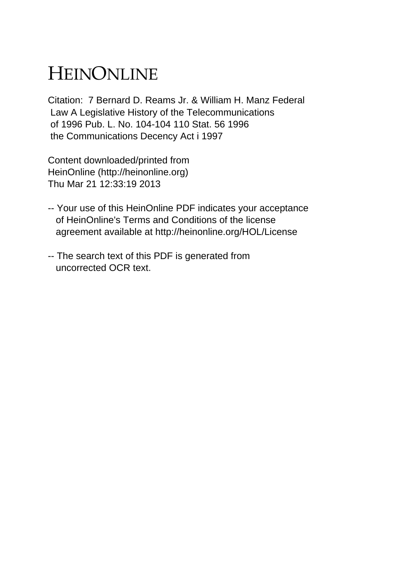# HEINONLINE

Citation: 7 Bernard D. Reams Jr. & William H. Manz Federal Law A Legislative History of the Telecommunications of 1996 Pub. L. No. 104-104 110 Stat. 56 1996 the Communications Decency Act i 1997

Content downloaded/printed from HeinOnline (http://heinonline.org) Thu Mar 21 12:33:19 2013

- -- Your use of this HeinOnline PDF indicates your acceptance of HeinOnline's Terms and Conditions of the license agreement available at http://heinonline.org/HOL/License
- -- The search text of this PDF is generated from uncorrected OCR text.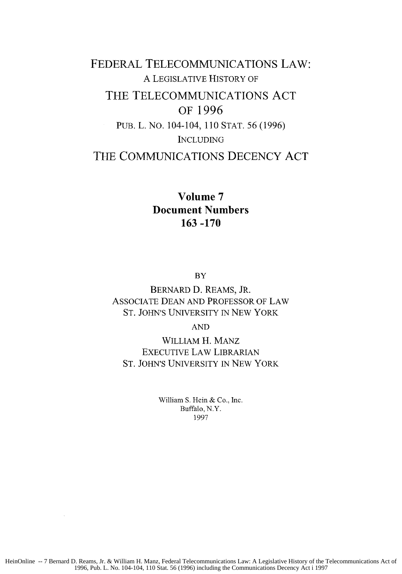## FEDERAL **TELECOMMUNICATIONS** LAW: A LEGISLATIVE HISTORY OF THE **TELECOMMUNICATIONS ACT** OF **1996 PUB.** L. NO. 104-104, 110 STAT. 56 (1996) INCLUDING **THE COMMUNICATIONS DECENCY ACT**

### **Volume 7 Document Numbers 163 -170**

BY

BERNARD **D.** REAMS, JR. ASSOCIATE DEAN AND PROFESSOR OF LAW ST. JOHN'S UNIVERSITY IN NEW YORK

AND

WILLIAM H. MANz EXECUTIVE LAW LIBRARIAN **ST.** JOHN'S UNIVERSITY IN NEW YORK

> William **S. Hein &** Co., Inc. Buffalo, N.Y. 1997